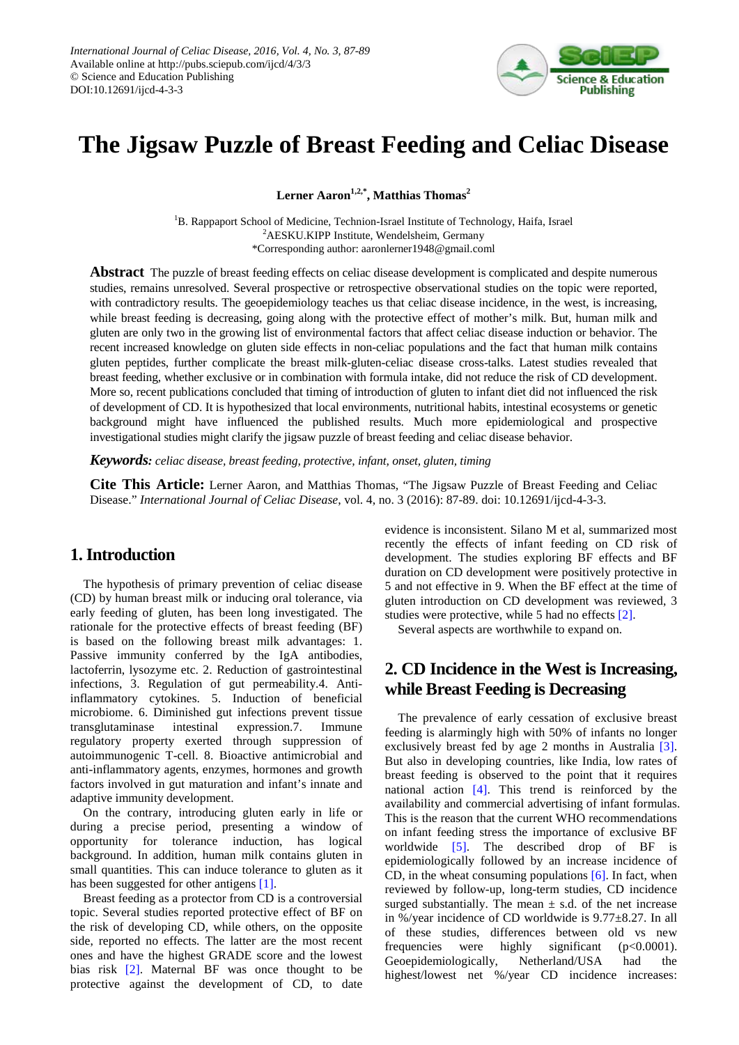

# **The Jigsaw Puzzle of Breast Feeding and Celiac Disease**

 $\mathbf{L}$ erner Aaron<sup>1,2,\*</sup>, Matthias Thomas<sup>2</sup>

<sup>1</sup>B. Rappaport School of Medicine, Technion-Israel Institute of Technology, Haifa, Israel <sup>2</sup>AESKU.KIPP Institute, Wendelsheim, Germany \*Corresponding author: aaronlerner1948@gmail.coml

**Abstract** The puzzle of breast feeding effects on celiac disease development is complicated and despite numerous studies, remains unresolved. Several prospective or retrospective observational studies on the topic were reported, with contradictory results. The geoepidemiology teaches us that celiac disease incidence, in the west, is increasing, while breast feeding is decreasing, going along with the protective effect of mother's milk. But, human milk and gluten are only two in the growing list of environmental factors that affect celiac disease induction or behavior. The recent increased knowledge on gluten side effects in non-celiac populations and the fact that human milk contains gluten peptides, further complicate the breast milk-gluten-celiac disease cross-talks. Latest studies revealed that breast feeding, whether exclusive or in combination with formula intake, did not reduce the risk of CD development. More so, recent publications concluded that timing of introduction of gluten to infant diet did not influenced the risk of development of CD. It is hypothesized that local environments, nutritional habits, intestinal ecosystems or genetic background might have influenced the published results. Much more epidemiological and prospective investigational studies might clarify the jigsaw puzzle of breast feeding and celiac disease behavior.

*Keywords: celiac disease, breast feeding, protective, infant, onset, gluten, timing*

**Cite This Article:** Lerner Aaron, and Matthias Thomas, "The Jigsaw Puzzle of Breast Feeding and Celiac Disease." *International Journal of Celiac Disease*, vol. 4, no. 3 (2016): 87-89. doi: 10.12691/ijcd-4-3-3.

#### **1. Introduction**

The hypothesis of primary prevention of celiac disease (CD) by human breast milk or inducing oral tolerance, via early feeding of gluten, has been long investigated. The rationale for the protective effects of breast feeding (BF) is based on the following breast milk advantages: 1. Passive immunity conferred by the IgA antibodies, lactoferrin, lysozyme etc. 2. Reduction of gastrointestinal infections, 3. Regulation of gut permeability.4. Antiinflammatory cytokines. 5. Induction of beneficial microbiome. 6. Diminished gut infections prevent tissue transglutaminase intestinal expression.7. Immune regulatory property exerted through suppression of autoimmunogenic T-cell. 8. Bioactive antimicrobial and anti-inflammatory agents, enzymes, hormones and growth factors involved in gut maturation and infant's innate and adaptive immunity development.

On the contrary, introducing gluten early in life or during a precise period, presenting a window of opportunity for tolerance induction, has logical background. In addition, human milk contains gluten in small quantities. This can induce tolerance to gluten as it has been suggested for other antigens [\[1\].](#page-1-0)

Breast feeding as a protector from CD is a controversial topic. Several studies reported protective effect of BF on the risk of developing CD, while others, on the opposite side, reported no effects. The latter are the most recent ones and have the highest GRADE score and the lowest bias risk [\[2\].](#page-1-1) Maternal BF was once thought to be protective against the development of CD, to date evidence is inconsistent. Silano M et al, summarized most recently the effects of infant feeding on CD risk of development. The studies exploring BF effects and BF duration on CD development were positively protective in 5 and not effective in 9. When the BF effect at the time of gluten introduction on CD development was reviewed, 3 studies were protective, while 5 had no effects [\[2\].](#page-1-1)

Several aspects are worthwhile to expand on.

# **2. CD Incidence in the West is Increasing, while Breast Feeding is Decreasing**

The prevalence of early cessation of exclusive breast feeding is alarmingly high with 50% of infants no longer exclusively breast fed by age 2 months in Australia [\[3\].](#page-1-2) But also in developing countries, like India, low rates of breast feeding is observed to the point that it requires national action [\[4\].](#page-1-3) This trend is reinforced by the availability and commercial advertising of infant formulas. This is the reason that the current WHO recommendations on infant feeding stress the importance of exclusive BF worldwide [\[5\].](#page-1-4) The described drop of BF is epidemiologically followed by an increase incidence of CD, in the wheat consuming populations [\[6\].](#page-1-5) In fact, when reviewed by follow-up, long-term studies, CD incidence surged substantially. The mean  $\pm$  s.d. of the net increase in %/year incidence of CD worldwide is 9.77±8.27. In all of these studies, differences between old vs new frequencies were highly significant  $(p<0.0001)$ . Geoepidemiologically, Netherland/USA had the highest/lowest net %/year CD incidence increases: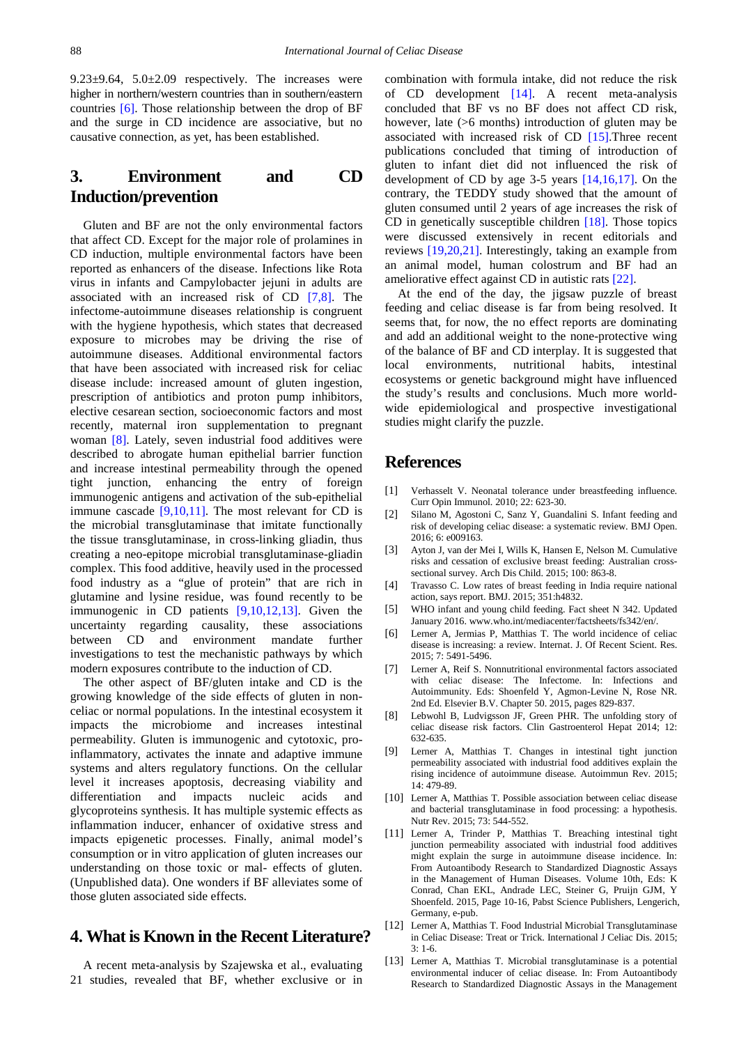$9.23\pm9.64$ ,  $5.0\pm2.09$  respectively. The increases were higher in northern/western countries than in southern/eastern countries [\[6\].](#page-1-5) Those relationship between the drop of BF and the surge in CD incidence are associative, but no causative connection, as yet, has been established.

## **3. Environment and CD Induction/prevention**

Gluten and BF are not the only environmental factors that affect CD. Except for the major role of prolamines in CD induction, multiple environmental factors have been reported as enhancers of the disease. Infections like Rota virus in infants and Campylobacter jejuni in adults are associated with an increased risk of CD [\[7,8\].](#page-1-6) The infectome-autoimmune diseases relationship is congruent with the hygiene hypothesis, which states that decreased exposure to microbes may be driving the rise of autoimmune diseases. Additional environmental factors that have been associated with increased risk for celiac disease include: increased amount of gluten ingestion, prescription of antibiotics and proton pump inhibitors, elective cesarean section, socioeconomic factors and most recently, maternal iron supplementation to pregnant woman [\[8\].](#page-1-7) Lately, seven industrial food additives were described to abrogate human epithelial barrier function and increase intestinal permeability through the opened tight junction, enhancing the entry of foreign immunogenic antigens and activation of the sub-epithelial immune cascade  $[9,10,11]$ . The most relevant for CD is the microbial transglutaminase that imitate functionally the tissue transglutaminase, in cross-linking gliadin, thus creating a neo-epitope microbial transglutaminase-gliadin complex. This food additive, heavily used in the processed food industry as a "glue of protein" that are rich in glutamine and lysine residue, was found recently to be immunogenic in CD patients [\[9,10,12,13\].](#page-1-8) Given the uncertainty regarding causality, these associations between CD and environment mandate further investigations to test the mechanistic pathways by which modern exposures contribute to the induction of CD.

The other aspect of BF/gluten intake and CD is the growing knowledge of the side effects of gluten in nonceliac or normal populations. In the intestinal ecosystem it impacts the microbiome and increases intestinal permeability. Gluten is immunogenic and cytotoxic, proinflammatory, activates the innate and adaptive immune systems and alters regulatory functions. On the cellular level it increases apoptosis, decreasing viability and differentiation and impacts nucleic acids and glycoproteins synthesis. It has multiple systemic effects as inflammation inducer, enhancer of oxidative stress and impacts epigenetic processes. Finally, animal model's consumption or in vitro application of gluten increases our understanding on those toxic or mal- effects of gluten. (Unpublished data). One wonders if BF alleviates some of those gluten associated side effects.

### **4. What is Known in the Recent Literature?**

A recent meta-analysis by Szajewska et al., evaluating 21 studies, revealed that BF, whether exclusive or in combination with formula intake, did not reduce the risk of CD development [\[14\].](#page-2-0) A recent meta-analysis concluded that BF vs no BF does not affect CD risk, however, late ( $>6$  months) introduction of gluten may be associated with increased risk of CD [\[15\].](#page-2-1)Three recent publications concluded that timing of introduction of gluten to infant diet did not influenced the risk of development of CD by age 3-5 years [\[14,16,17\].](#page-2-0) On the contrary, the TEDDY study showed that the amount of gluten consumed until 2 years of age increases the risk of CD in genetically susceptible children [\[18\].](#page-2-2) Those topics were discussed extensively in recent editorials and reviews [\[19,20,21\].](#page-2-3) Interestingly, taking an example from an animal model, human colostrum and BF had an ameliorative effect against CD in autistic rat[s \[22\].](#page-2-4)

At the end of the day, the jigsaw puzzle of breast feeding and celiac disease is far from being resolved. It seems that, for now, the no effect reports are dominating and add an additional weight to the none-protective wing of the balance of BF and CD interplay. It is suggested that local environments, nutritional habits, intestinal ecosystems or genetic background might have influenced the study's results and conclusions. Much more worldwide epidemiological and prospective investigational studies might clarify the puzzle.

#### **References**

- <span id="page-1-0"></span>[1] Verhasselt V. Neonatal tolerance under breastfeeding influence. Curr Opin Immunol. 2010; 22: 623-30.
- <span id="page-1-1"></span>[2] Silano M, Agostoni C, Sanz Y, Guandalini S. Infant feeding and risk of developing celiac disease: a systematic review. BMJ Open. 2016; 6: e009163.
- <span id="page-1-2"></span>[3] Ayton J, van der Mei I, Wills K, Hansen E, Nelson M. Cumulative risks and cessation of exclusive breast feeding: Australian crosssectional survey. Arch Dis Child. 2015; 100: 863-8.
- <span id="page-1-3"></span>[4] Travasso C. Low rates of breast feeding in India require national action, says report. BMJ. 2015; 351:h4832.
- <span id="page-1-4"></span>[5] WHO infant and young child feeding. Fact sheet N 342. Updated January 2016. www.who.int/mediacenter/factsheets/fs342/en/.
- <span id="page-1-5"></span>[6] Lerner A, Jermias P, Matthias T. The world incidence of celiac disease is increasing: a review. Internat. J. Of Recent Scient. Res. 2015; 7: 5491-5496.
- <span id="page-1-6"></span>[7] Lerner A, Reif S. Nonnutritional environmental factors associated with celiac disease: The Infectome. In: Infections and Autoimmunity. Eds: Shoenfeld Y, Agmon-Levine N, Rose NR. 2nd Ed. Elsevier B.V. Chapter 50. 2015, pages 829-837.
- <span id="page-1-7"></span>[8] Lebwohl B, Ludvigsson JF, Green PHR. The unfolding story of celiac disease risk factors. Clin Gastroenterol Hepat 2014; 12: 632-635.
- <span id="page-1-8"></span>[9] Lerner A, Matthias T. Changes in intestinal tight junction permeability associated with industrial food additives explain the rising incidence of autoimmune disease. Autoimmun Rev. 2015; 14: 479-89.
- [10] Lerner A, Matthias T, Possible association between celiac disease and bacterial transglutaminase in food processing: a hypothesis. Nutr Rev. 2015; 73: 544-552.
- [11] Lerner A, Trinder P, Matthias T. Breaching intestinal tight junction permeability associated with industrial food additives might explain the surge in autoimmune disease incidence. In: From Autoantibody Research to Standardized Diagnostic Assays in the Management of Human Diseases. Volume 10th, Eds: K Conrad, Chan EKL, Andrade LEC, Steiner G, Pruijn GJM, Y Shoenfeld. 2015, Page 10-16, Pabst Science Publishers, Lengerich, Germany, e-pub.
- [12] Lerner A, Matthias T. Food Industrial Microbial Transglutaminase in Celiac Disease: Treat or Trick. International J Celiac Dis. 2015;  $3:1-6.$
- [13] Lerner A, Matthias T. Microbial transglutaminase is a potential environmental inducer of celiac disease. In: From Autoantibody Research to Standardized Diagnostic Assays in the Management